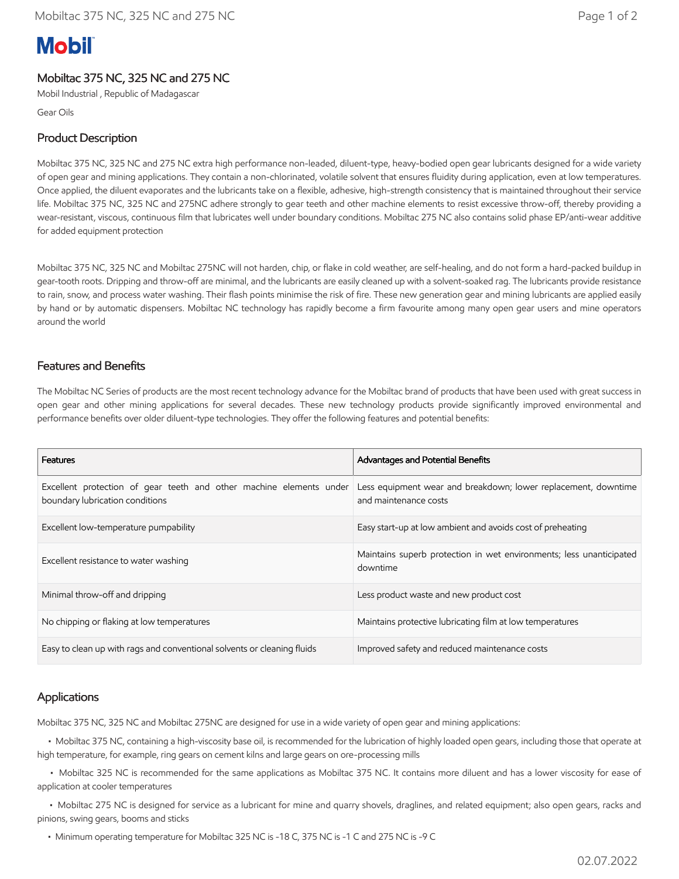# **Mobil**

# Mobiltac 375 NC, 325 NC and 275 NC

Mobil Industrial , Republic of Madagascar

Gear Oils

# Product Description

Mobiltac 375 NC, 325 NC and 275 NC extra high performance non-leaded, diluent-type, heavy-bodied open gear lubricants designed for a wide variety of open gear and mining applications. They contain a non-chlorinated, volatile solvent that ensures fluidity during application, even at low temperatures. Once applied, the diluent evaporates and the lubricants take on a flexible, adhesive, high-strength consistency that is maintained throughout their service life. Mobiltac 375 NC, 325 NC and 275NC adhere strongly to gear teeth and other machine elements to resist excessive throw-off, thereby providing a wear-resistant, viscous, continuous film that lubricates well under boundary conditions. Mobiltac 275 NC also contains solid phase EP/anti-wear additive for added equipment protection

Mobiltac 375 NC, 325 NC and Mobiltac 275NC will not harden, chip, or flake in cold weather, are self-healing, and do not form a hard-packed buildup in gear-tooth roots. Dripping and throw-off are minimal, and the lubricants are easily cleaned up with a solvent-soaked rag. The lubricants provide resistance to rain, snow, and process water washing. Their flash points minimise the risk of fire. These new generation gear and mining lubricants are applied easily by hand or by automatic dispensers. Mobiltac NC technology has rapidly become a firm favourite among many open gear users and mine operators around the world

# Features and Benefits

The Mobiltac NC Series of products are the most recent technology advance for the Mobiltac brand of products that have been used with great success in open gear and other mining applications for several decades. These new technology products provide significantly improved environmental and performance benefits over older diluent-type technologies. They offer the following features and potential benefits:

| Features                                                                                               | Advantages and Potential Benefits                                                       |
|--------------------------------------------------------------------------------------------------------|-----------------------------------------------------------------------------------------|
| Excellent protection of gear teeth and other machine elements under<br>boundary lubrication conditions | Less equipment wear and breakdown; lower replacement, downtime<br>and maintenance costs |
| Excellent low-temperature pumpability                                                                  | Easy start-up at low ambient and avoids cost of preheating                              |
| Excellent resistance to water washing                                                                  | Maintains superb protection in wet environments; less unanticipated<br>downtime         |
| Minimal throw-off and dripping                                                                         | Less product waste and new product cost                                                 |
| No chipping or flaking at low temperatures                                                             | Maintains protective lubricating film at low temperatures                               |
| Easy to clean up with rags and conventional solvents or cleaning fluids                                | Improved safety and reduced maintenance costs                                           |

### Applications

Mobiltac 375 NC, 325 NC and Mobiltac 275NC are designed for use in a wide variety of open gear and mining applications:

 • Mobiltac 375 NC, containing a high-viscosity base oil, is recommended for the lubrication of highly loaded open gears, including those that operate at high temperature, for example, ring gears on cement kilns and large gears on ore-processing mills

 • Mobiltac 325 NC is recommended for the same applications as Mobiltac 375 NC. It contains more diluent and has a lower viscosity for ease of application at cooler temperatures

 • Mobiltac 275 NC is designed for service as a lubricant for mine and quarry shovels, draglines, and related equipment; also open gears, racks and pinions, swing gears, booms and sticks

• Minimum operating temperature for Mobiltac 325 NC is -18 C, 375 NC is -1 C and 275 NC is -9 C